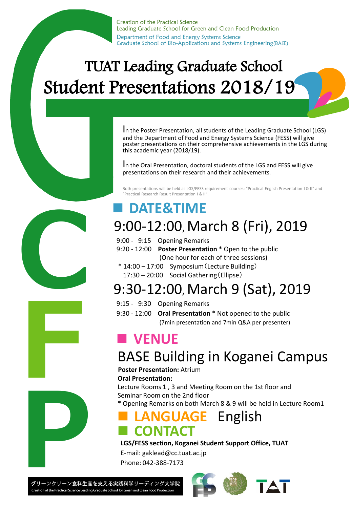Creation of the Practical Science Leading Graduate School for Green and Clean Food Production Department of Food and Energy Systems Science Graduate School of Bio-Applications and Systems Engineering(BASE)

# TUAT Leading Graduate School Student Presentations 2018/19

In the Poster Presentation, all students of the Leading Graduate School (LGS) and the Department of Food and Energy Systems Science (FESS) will give poster presentations on their comprehensive achievements in the LGS during this academic year (2018/19).

In the Oral Presentation, doctoral students of the LGS and FESS will give presentations on their research and their achievements.

Both presentations will be held as LGS/FESS requirement courses: "Practical English Presentation I & II" and "Practical Research Result Presentation I & II".

## ■ **DATE&TIME**

## 9:00-12:00, March 8 (Fri), 2019

- 9:00 9:15 Opening Remarks
- 9:20 12:00 **Poster Presentation** \* Open to the public (One hour for each of three sessions)
- \* 14:00 17:00 Symposium(Lecture Building) 17:30 – 20:00 Social Gathering(Ellipse)

# 9:30-12:00, March 9 (Sat), 2019

- 9:15 9:30 Opening Remarks
- 9:30 12:00 **Oral Presentation** \* Not opened to the public (7min presentation and 7min Q&A per presenter)

## ■ **VENUE**

# BASE Building in Koganei Campus **Poster Presentation:** Atrium

**Oral Presentation:** 

Lecture Rooms 1 , 3 and Meeting Room on the 1st floor and Seminar Room on the 2nd floor \* Opening Remarks on both March 8 & 9 will be held in Lecture Room1

### **■ LANGUAGE** English **■ CONTACT**

#### **LGS/FESS section, Koganei Student Support Office, TUAT**

E-mail: gaklead@cc.tuat.ac.jp Phone: 042-388-7173

**P**<br>グリーンクリーン食料生産<br>Creation of the Practical Science Leadin

**C** 

**F**